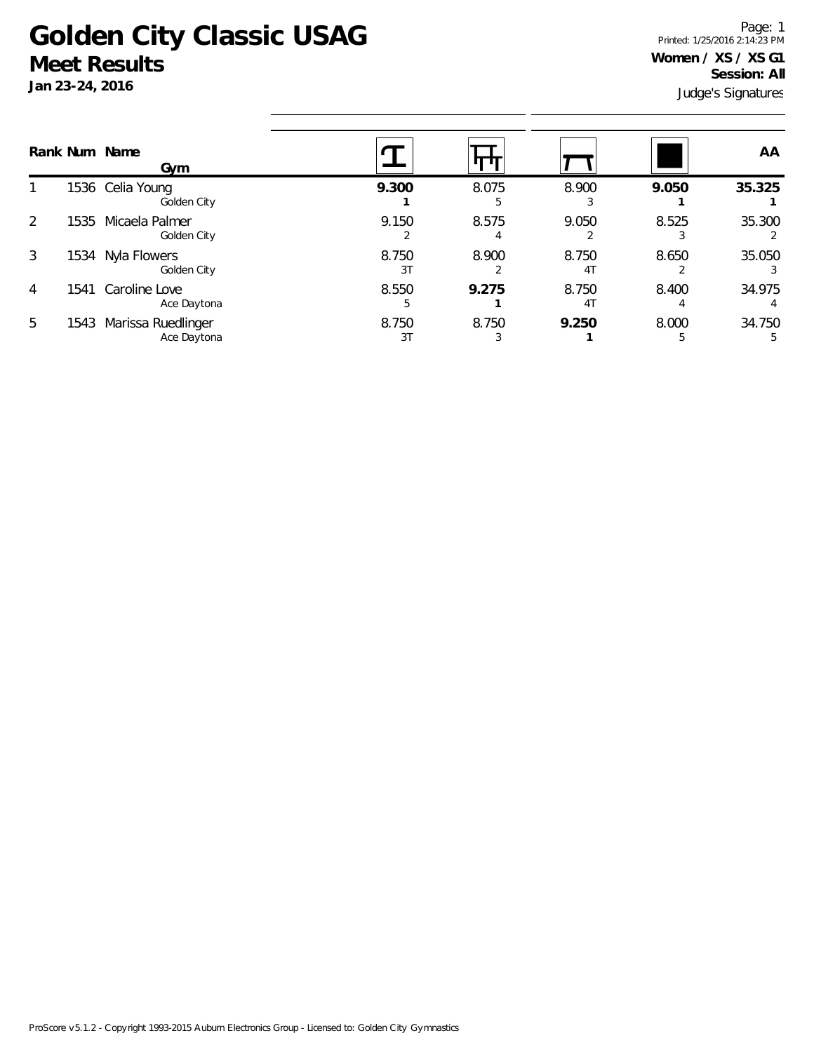## **Golden City Classic USAG Meet Results**

**Jan 23-24, 2016**

Judge's Signatures Page: 1 Printed: 1/25/2016 2:14:23 PM **Women / XS / XS G1 Session: All**

|   | Rank Num Name | Gym                               |             |            |                         |       | AA          |
|---|---------------|-----------------------------------|-------------|------------|-------------------------|-------|-------------|
|   |               | 1536 Celia Young<br>Golden City   | 9.300       | 8.075<br>5 | 8.900                   | 9.050 | 35.325      |
| 2 | 1535          | Micaela Palmer<br>Golden City     | 9.150       | 8.575      | 9.050                   | 8.525 | 35.300      |
| 3 | 1534          | Nyla Flowers<br>Golden City       | 8.750<br>3T | 8.900      | 8.750<br>4 <sub>1</sub> | 8.650 | 35.050      |
| 4 | 1541          | Caroline Love<br>Ace Daytona      | 8.550<br>b. | 9.275      | 8.750<br>4 <sub>1</sub> | 8.400 | 34.975      |
| 5 | 1543          | Marissa Ruedlinger<br>Ace Daytona | 8.750<br>3T | 8.750      | 9.250                   | 8.000 | 34.750<br>5 |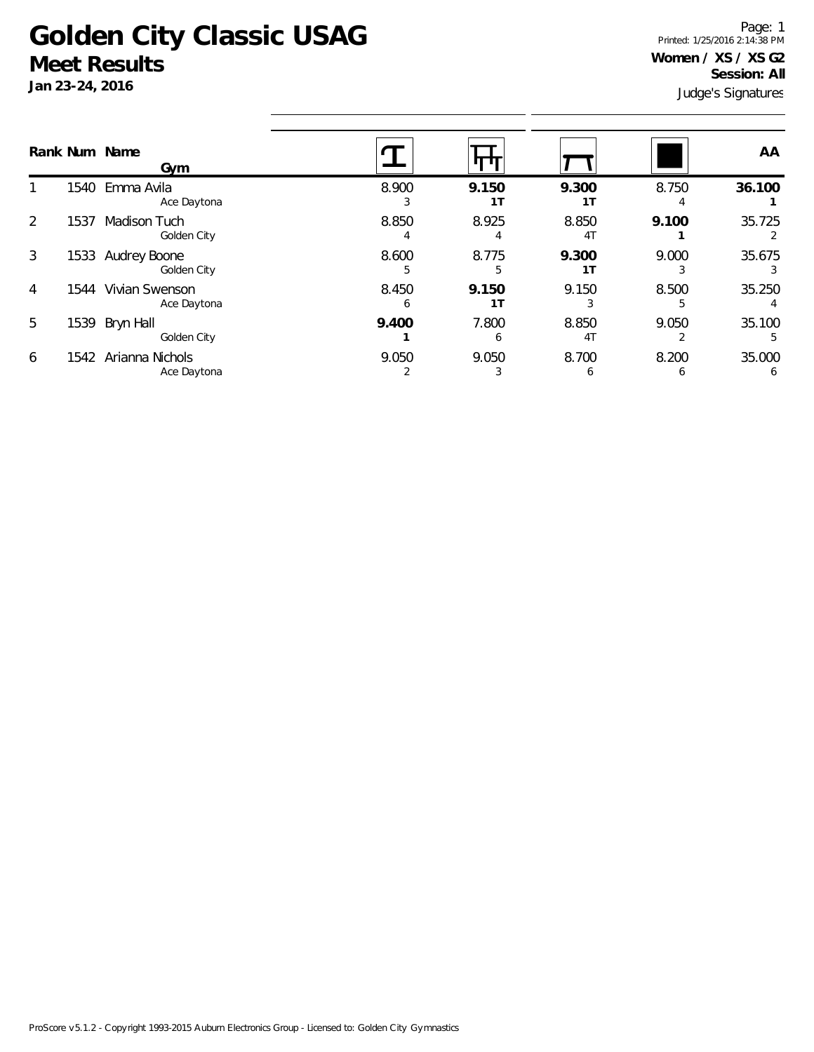## **Golden City Classic USAG Meet Results**

**Jan 23-24, 2016**

Judge's Signatures Page: 1 Printed: 1/25/2016 2:14:38 PM **Women / XS / XS G2 Session: All**

|               |      | Rank Num Name<br>Gym                |            |                         |                         |            | AA     |
|---------------|------|-------------------------------------|------------|-------------------------|-------------------------|------------|--------|
|               |      | 1540 Emma Avila<br>Ace Daytona      | 8.900      | 9.150<br>1 <sub>T</sub> | 9.300<br>1T             | 8.750      | 36.100 |
| $\mathcal{L}$ | 1537 | Madison Tuch<br>Golden City         | 8.850      | 8.925                   | 8.850<br>4 <sub>1</sub> | 9.100      | 35.725 |
| 3             | 1533 | Audrey Boone<br>Golden City         | 8.600      | 8.775                   | 9.300<br>1T             | 9.000      | 35.675 |
| 4             | 1544 | Vivian Swenson<br>Ace Daytona       | 8.450<br>h | 9.150<br>1T             | 9.150                   | 8.500      | 35.250 |
| 5             | 1539 | Bryn Hall<br>Golden City            | 9.400      | 7.800<br>b              | 8.850<br>4 <sub>T</sub> | 9.050      | 35.100 |
| 6             |      | 1542 Arianna Nichols<br>Ace Daytona | 9.050      | 9.050                   | 8.700<br>h              | 8.200<br>b | 35.000 |